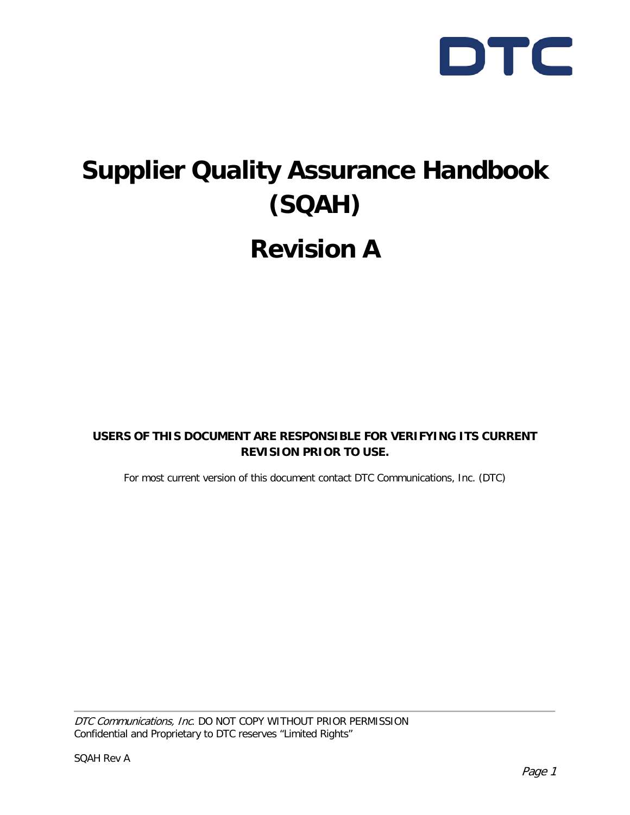

## **Supplier Quality Assurance Handbook (SQAH) Revision A**

**USERS OF THIS DOCUMENT ARE RESPONSIBLE FOR VERIFYING ITS CURRENT REVISION PRIOR TO USE.**

For most current version of this document contact DTC Communications, Inc. (DTC)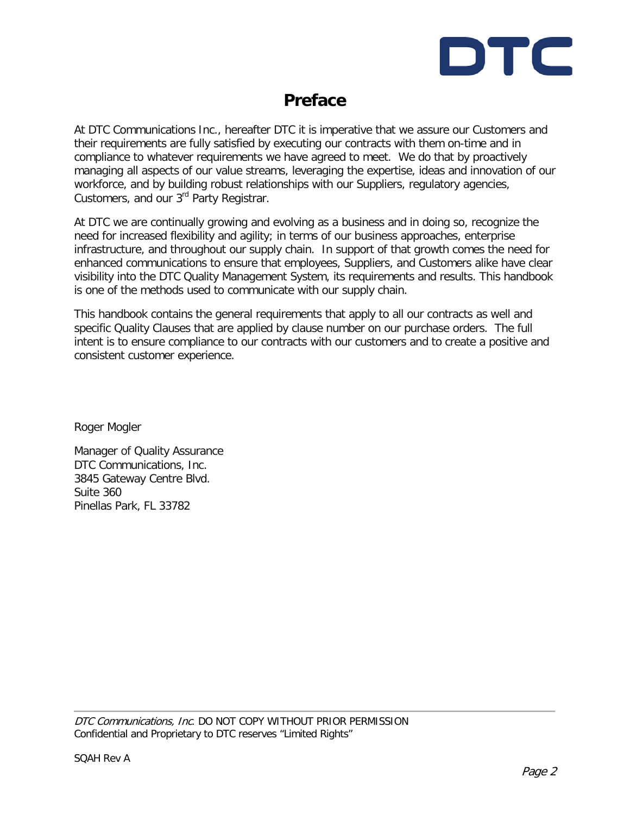

### **Preface**

At DTC Communications Inc., hereafter DTC it is imperative that we assure our Customers and their requirements are fully satisfied by executing our contracts with them on-time and in compliance to whatever requirements we have agreed to meet. We do that by proactively managing all aspects of our value streams, leveraging the expertise, ideas and innovation of our workforce, and by building robust relationships with our Suppliers, regulatory agencies, Customers, and our 3<sup>rd</sup> Party Registrar.

At DTC we are continually growing and evolving as a business and in doing so, recognize the need for increased flexibility and agility; in terms of our business approaches, enterprise infrastructure, and throughout our supply chain. In support of that growth comes the need for enhanced communications to ensure that employees, Suppliers, and Customers alike have clear visibility into the DTC Quality Management System, its requirements and results. This handbook is one of the methods used to communicate with our supply chain.

This handbook contains the general requirements that apply to all our contracts as well and specific Quality Clauses that are applied by clause number on our purchase orders. The full intent is to ensure compliance to our contracts with our customers and to create a positive and consistent customer experience.

Roger Mogler

Manager of Quality Assurance DTC Communications, Inc. 3845 Gateway Centre Blvd. Suite 360 Pinellas Park, FL 33782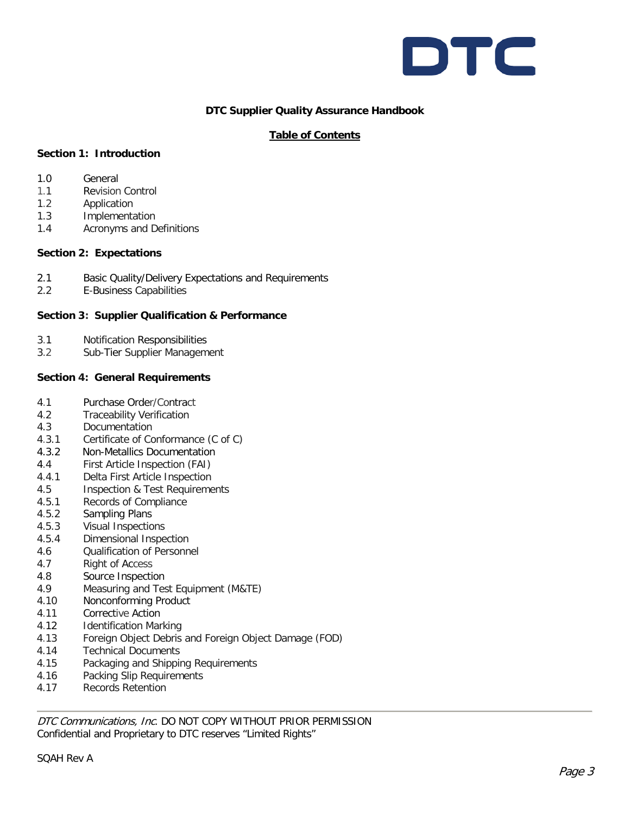

#### **DTC Supplier Quality Assurance Handbook**

#### **Table of Contents**

#### **Section 1: Introduction**

- 1.0 General
- 1.1 Revision Control
- 1.2 Application
- 1.3 Implementation
- 1.4 Acronyms and Definitions

#### **Section 2: Expectations**

- 2.1 Basic Quality/Delivery Expectations and Requirements
- 2.2 E-Business Capabilities

#### **Section 3: Supplier Qualification & Performance**

- 3.1 Notification Responsibilities
- 3.2 Sub-Tier Supplier Management

#### **Section 4: General Requirements**

- 4.1 Purchase Order/Contract
- 4.2 Traceability Verification
- 4.3 Documentation
- 4.3.1 Certificate of Conformance (C of C)
- 4.3.2 Non-Metallics Documentation
- 4.4 First Article Inspection (FAI)
- 4.4.1 Delta First Article Inspection
- 4.5 Inspection & Test Requirements
- 4.5.1 Records of Compliance
- 4.5.2 Sampling Plans
- 4.5.3 Visual Inspections
- 4.5.4 Dimensional Inspection
- 4.6 Qualification of Personnel
- 4.7 Right of Access
- 4.8 Source Inspection
- 4.9 Measuring and Test Equipment (M&TE)
- 4.10 Nonconforming Product
- 4.11 Corrective Action
- 4.12 Identification Marking
- 4.13 Foreign Object Debris and Foreign Object Damage (FOD)
- 4.14 Technical Documents
- 4.15 Packaging and Shipping Requirements
- 4.16 Packing Slip Requirements
- 4.17 Records Retention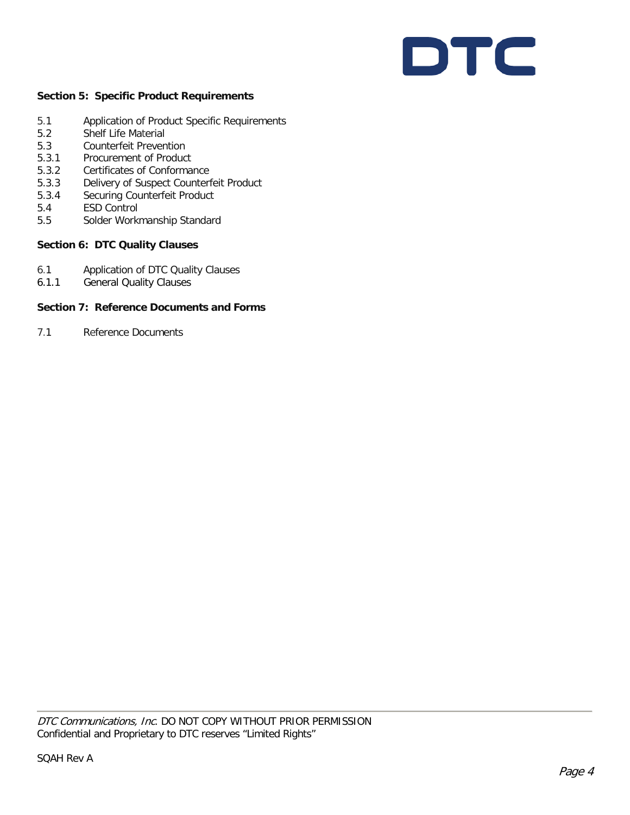# DTC

#### **Section 5: Specific Product Requirements**

- 5.1 Application of Product Specific Requirements
- 5.2 Shelf Life Material
- 5.3 Counterfeit Prevention
- 5.3.1 Procurement of Product
- 5.3.2 Certificates of Conformance
- 5.3.3 Delivery of Suspect Counterfeit Product
- 5.3.4 Securing Counterfeit Product
- 5.4 ESD Control
- 5.5 Solder Workmanship Standard

#### **Section 6: DTC Quality Clauses**

- 6.1 Application of DTC Quality Clauses
- 6.1.1 General Quality Clauses

#### **Section 7: Reference Documents and Forms**

7.1 Reference Documents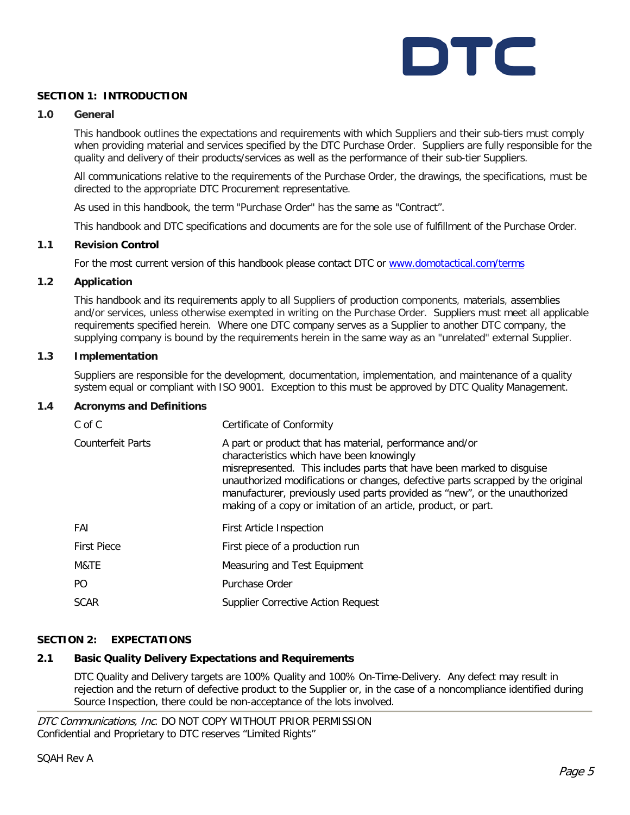

#### **SECTION 1: INTRODUCTION**

#### **1.0 General**

This handbook outlines the expectations and requirements with which Suppliers and their sub-tiers must comply when providing material and services specified by the DTC Purchase Order. Suppliers are fully responsible for the quality and delivery of their products/services as well as the performance of their sub-tier Suppliers.

All communications relative to the requirements of the Purchase Order, the drawings, the specifications, must be directed to the appropriate DTC Procurement representative.

As used in this handbook, the term "Purchase Order" has the same as "Contract".

This handbook and DTC specifications and documents are for the sole use of fulfillment of the Purchase Order.

#### **1.1 Revision Control**

For the most current version of this handbook please contact DTC or [www.domotactical.com/terms](http://www.domotactical.com/terms)

#### **1.2 Application**

This handbook and its requirements apply to all Suppliers of production components, materials, assemblies and/or services, unless otherwise exempted in writing on the Purchase Order. Suppliers must meet all applicable requirements specified herein. Where one DTC company serves as a Supplier to another DTC company, the supplying company is bound by the requirements herein in the same way as an "unrelated" external Supplier.

#### **1.3 Implementation**

Suppliers are responsible for the development, documentation, implementation, and maintenance of a quality system equal or compliant with ISO 9001. Exception to this must be approved by DTC Quality Management.

#### **1.4 Acronyms and Definitions**

| C of C             | Certificate of Conformity                                                                                                                                                                                                                                                                                                                                                                                        |
|--------------------|------------------------------------------------------------------------------------------------------------------------------------------------------------------------------------------------------------------------------------------------------------------------------------------------------------------------------------------------------------------------------------------------------------------|
| Counterfeit Parts  | A part or product that has material, performance and/or<br>characteristics which have been knowingly<br>misrepresented. This includes parts that have been marked to disguise<br>unauthorized modifications or changes, defective parts scrapped by the original<br>manufacturer, previously used parts provided as "new", or the unauthorized<br>making of a copy or imitation of an article, product, or part. |
| FAI                | <b>First Article Inspection</b>                                                                                                                                                                                                                                                                                                                                                                                  |
| <b>First Piece</b> | First piece of a production run                                                                                                                                                                                                                                                                                                                                                                                  |
| M&TE               | Measuring and Test Equipment                                                                                                                                                                                                                                                                                                                                                                                     |
| PO.                | Purchase Order                                                                                                                                                                                                                                                                                                                                                                                                   |
| <b>SCAR</b>        | <b>Supplier Corrective Action Request</b>                                                                                                                                                                                                                                                                                                                                                                        |

#### **SECTION 2: EXPECTATIONS**

#### **2.1 Basic Quality Delivery Expectations and Requirements**

DTC Quality and Delivery targets are 100% Quality and 100% On-Time-Delivery. Any defect may result in rejection and the return of defective product to the Supplier or, in the case of a noncompliance identified during Source Inspection, there could be non-acceptance of the lots involved.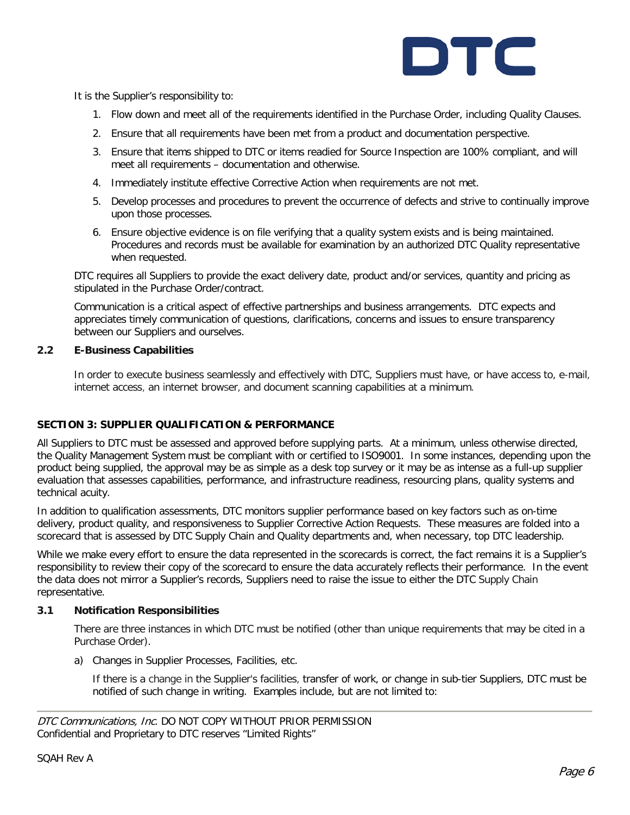

It is the Supplier's responsibility to:

- 1. Flow down and meet all of the requirements identified in the Purchase Order, including Quality Clauses.
- 2. Ensure that all requirements have been met from a product and documentation perspective.
- 3. Ensure that items shipped to DTC or items readied for Source Inspection are 100% compliant, and will meet all requirements – documentation and otherwise.
- 4. Immediately institute effective Corrective Action when requirements are not met.
- 5. Develop processes and procedures to prevent the occurrence of defects and strive to continually improve upon those processes.
- 6. Ensure objective evidence is on file verifying that a quality system exists and is being maintained. Procedures and records must be available for examination by an authorized DTC Quality representative when requested.

DTC requires all Suppliers to provide the exact delivery date, product and/or services, quantity and pricing as stipulated in the Purchase Order/contract.

Communication is a critical aspect of effective partnerships and business arrangements. DTC expects and appreciates timely communication of questions, clarifications, concerns and issues to ensure transparency between our Suppliers and ourselves.

#### **2.2 E-Business Capabilities**

In order to execute business seamlessly and effectively with DTC, Suppliers must have, or have access to, e-mail, internet access, an internet browser, and document scanning capabilities at a minimum.

#### **SECTION 3: SUPPLIER QUALIFICATION & PERFORMANCE**

All Suppliers to DTC must be assessed and approved before supplying parts. At a minimum, unless otherwise directed, the Quality Management System must be compliant with or certified to ISO9001. In some instances, depending upon the product being supplied, the approval may be as simple as a desk top survey or it may be as intense as a full-up supplier evaluation that assesses capabilities, performance, and infrastructure readiness, resourcing plans, quality systems and technical acuity.

In addition to qualification assessments, DTC monitors supplier performance based on key factors such as on-time delivery, product quality, and responsiveness to Supplier Corrective Action Requests. These measures are folded into a scorecard that is assessed by DTC Supply Chain and Quality departments and, when necessary, top DTC leadership.

While we make every effort to ensure the data represented in the scorecards is correct, the fact remains it is a Supplier's responsibility to review their copy of the scorecard to ensure the data accurately reflects their performance. In the event the data does not mirror a Supplier's records, Suppliers need to raise the issue to either the DTC Supply Chain representative.

#### **3.1 Notification Responsibilities**

There are three instances in which DTC must be notified (other than unique requirements that may be cited in a Purchase Order).

a) Changes in Supplier Processes, Facilities, etc.

If there is a change in the Supplier's facilities, transfer of work, or change in sub-tier Suppliers, DTC must be notified of such change in writing. Examples include, but are not limited to:

DTC Communications, Inc. DO NOT COPY WITHOUT PRIOR PERMISSION Confidential and Proprietary to DTC reserves "Limited Rights"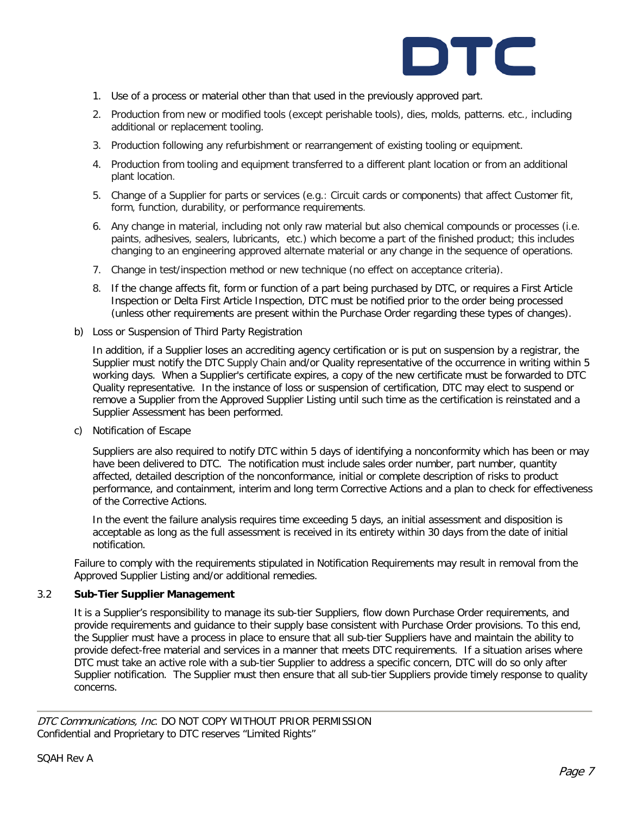

- 1. Use of a process or material other than that used in the previously approved part.
- 2. Production from new or modified tools (except perishable tools), dies, molds, patterns. etc., including additional or replacement tooling.
- 3. Production following any refurbishment or rearrangement of existing tooling or equipment.
- 4. Production from tooling and equipment transferred to a different plant location or from an additional plant location.
- 5. Change of a Supplier for parts or services (e.g.: Circuit cards or components) that affect Customer fit, form, function, durability, or performance requirements.
- 6. Any change in material, including not only raw material but also chemical compounds or processes (i.e. paints, adhesives, sealers, lubricants, etc.) which become a part of the finished product; this includes changing to an engineering approved alternate material or any change in the sequence of operations.
- 7. Change in test/inspection method or new technique (no effect on acceptance criteria).
- 8. If the change affects fit, form or function of a part being purchased by DTC, or requires a First Article Inspection or Delta First Article Inspection, DTC must be notified prior to the order being processed (unless other requirements are present within the Purchase Order regarding these types of changes).
- b) Loss or Suspension of Third Party Registration

In addition, if a Supplier loses an accrediting agency certification or is put on suspension by a registrar, the Supplier must notify the DTC Supply Chain and/or Quality representative of the occurrence in writing within 5 working days. When a Supplier's certificate expires, a copy of the new certificate must be forwarded to DTC Quality representative. In the instance of loss or suspension of certification, DTC may elect to suspend or remove a Supplier from the Approved Supplier Listing until such time as the certification is reinstated and a Supplier Assessment has been performed.

c) Notification of Escape

Suppliers are also required to notify DTC within 5 days of identifying a nonconformity which has been or may have been delivered to DTC. The notification must include sales order number, part number, quantity affected, detailed description of the nonconformance, initial or complete description of risks to product performance, and containment, interim and long term Corrective Actions and a plan to check for effectiveness of the Corrective Actions.

In the event the failure analysis requires time exceeding 5 days, an initial assessment and disposition is acceptable as long as the full assessment is received in its entirety within 30 days from the date of initial notification.

Failure to comply with the requirements stipulated in Notification Requirements may result in removal from the Approved Supplier Listing and/or additional remedies.

#### 3.2 **Sub-Tier Supplier Management**

It is a Supplier's responsibility to manage its sub-tier Suppliers, flow down Purchase Order requirements, and provide requirements and guidance to their supply base consistent with Purchase Order provisions. To this end, the Supplier must have a process in place to ensure that all sub-tier Suppliers have and maintain the ability to provide defect-free material and services in a manner that meets DTC requirements. If a situation arises where DTC must take an active role with a sub-tier Supplier to address a specific concern, DTC will do so only after Supplier notification. The Supplier must then ensure that all sub-tier Suppliers provide timely response to quality concerns.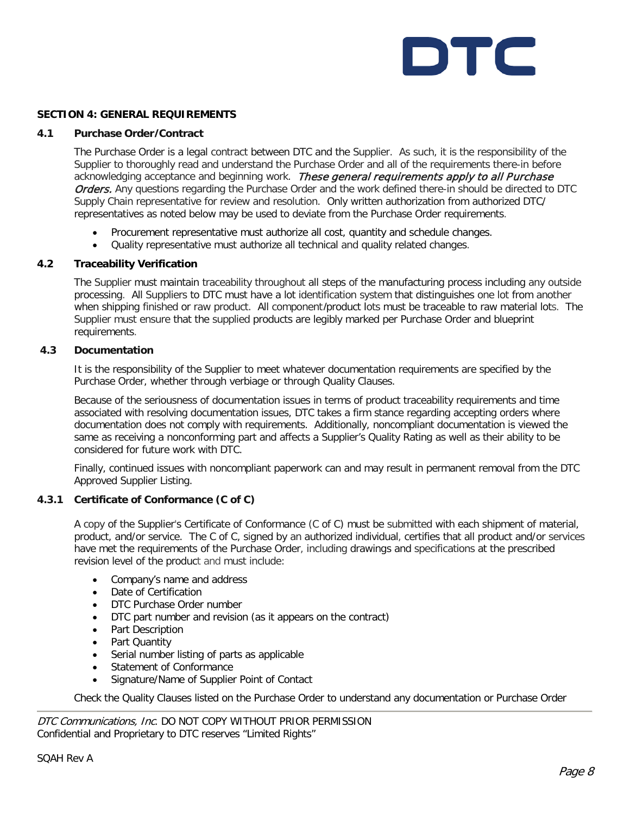

#### **SECTION 4: GENERAL REQUIREMENTS**

#### **4.1 Purchase Order**I**Contract**

The Purchase Order is a legal contract between DTC and the Supplier. As such, it is the responsibility of the Supplier to thoroughly read and understand the Purchase Order and all of the requirements there-in before acknowledging acceptance and beginning work. These general requirements apply to all Purchase Orders. Any questions regarding the Purchase Order and the work defined there-in should be directed to DTC Supply Chain representative for review and resolution. Only written authorization from authorized DTC/ representatives as noted below may be used to deviate from the Purchase Order requirements.

- Procurement representative must authorize all cost, quantity and schedule changes.
- Quality representative must authorize all technical and quality related changes.

#### **4.2 Traceability Verification**

The Supplier must maintain traceability throughout all steps of the manufacturing process including any outside processing. All Suppliers to DTC must have a lot identification system that distinguishes one lot from another when shipping finished or raw product. All component/product lots must be traceable to raw material lots. The Supplier must ensure that the supplied products are legibly marked per Purchase Order and blueprint requirements.

#### **4.3 Documentation**

It is the responsibility of the Supplier to meet whatever documentation requirements are specified by the Purchase Order, whether through verbiage or through Quality Clauses.

Because of the seriousness of documentation issues in terms of product traceability requirements and time associated with resolving documentation issues, DTC takes a firm stance regarding accepting orders where documentation does not comply with requirements. Additionally, noncompliant documentation is viewed the same as receiving a nonconforming part and affects a Supplier's Quality Rating as well as their ability to be considered for future work with DTC.

Finally, continued issues with noncompliant paperwork can and may result in permanent removal from the DTC Approved Supplier Listing.

#### **4.3.1 Certificate of Conformance (C of C)**

A copy of the Supplier's Certificate of Conformance (C of C) must be submitted with each shipment of material, product, and/or service. The C of C, signed by an authorized individual, certifies that all product and/or services have met the requirements of the Purchase Order, including drawings and specifications at the prescribed revision level of the product and must include:

- Company's name and address
- Date of Certification
- DTC Purchase Order number
- DTC part number and revision (as it appears on the contract)
- Part Description
- Part Quantity
- Serial number listing of parts as applicable
- Statement of Conformance
- Signature/Name of Supplier Point of Contact

Check the Quality Clauses listed on the Purchase Order to understand any documentation or Purchase Order

| DTC Communications, Inc. DO NOT COPY WITHOUT PRIOR PERMISSION |  |  |  |
|---------------------------------------------------------------|--|--|--|
| Confidential and Proprietary to DTC reserves "Limited Rights" |  |  |  |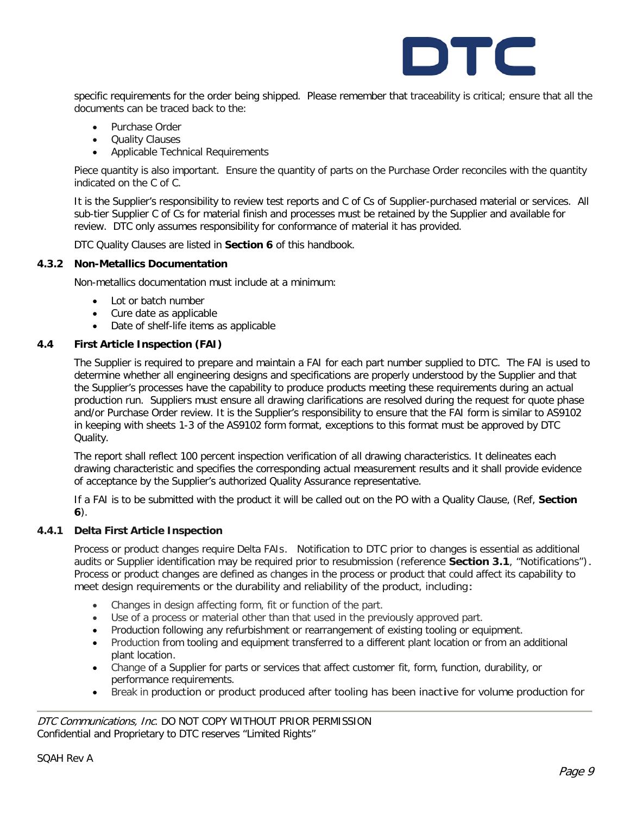

specific requirements for the order being shipped. Please remember that traceability is critical; ensure that all the documents can be traced back to the:

- Purchase Order
- Quality Clauses
- Applicable Technical Requirements

Piece quantity is also important. Ensure the quantity of parts on the Purchase Order reconciles with the quantity indicated on the C of C.

It is the Supplier's responsibility to review test reports and C of Cs of Supplier-purchased material or services. All sub-tier Supplier C of Cs for material finish and processes must be retained by the Supplier and available for review. DTC only assumes responsibility for conformance of material it has provided.

DTC Quality Clauses are listed in **Section 6** of this handbook.

#### **4.3.2 Non-Metallics Documentation**

Non-metallics documentation must include at a minimum:

- Lot or batch number
- Cure date as applicable
- Date of shelf-life items as applicable

#### **4.4 First Article Inspection (FAI)**

The Supplier is required to prepare and maintain a FAI for each part number supplied to DTC. The FAI is used to determine whether all engineering designs and specifications are properly understood by the Supplier and that the Supplier's processes have the capability to produce products meeting these requirements during an actual production run. Suppliers must ensure all drawing clarifications are resolved during the request for quote phase and/or Purchase Order review. It is the Supplier's responsibility to ensure that the FAI form is similar to AS9102 in keeping with sheets 1-3 of the AS9102 form format, exceptions to this format must be approved by DTC Quality.

The report shall reflect 100 percent inspection verification of all drawing characteristics. It delineates each drawing characteristic and specifies the corresponding actual measurement results and it shall provide evidence of acceptance by the Supplier's authorized Quality Assurance representative.

If a FAI is to be submitted with the product it will be called out on the PO with a Quality Clause, (Ref, **Section 6**).

#### **4.4.1 Delta First Article Inspection**

Process or product changes require Delta FAIs. Notification to DTC prior to changes is essential as additional audits or Supplier identification may be required prior to resubmission (reference **Section 3.1**, "Notifications"). Process or product changes are defined as changes in the process or product that could affect its capability to meet design requirements or the durability and reliability of the product, including:

- Changes in design affecting form, fit or function of the part.
- Use of a process or material other than that used in the previously approved part.
- Production following any refurbishment or rearrangement of existing tooling or equipment.
- Production from tooling and equipment transferred to a different plant location or from an additional plant location.
- Change of a Supplier for parts or services that affect customer fit, form, function, durability, or performance requirements.
- Break in production or product produced after tooling has been inactive for volume production for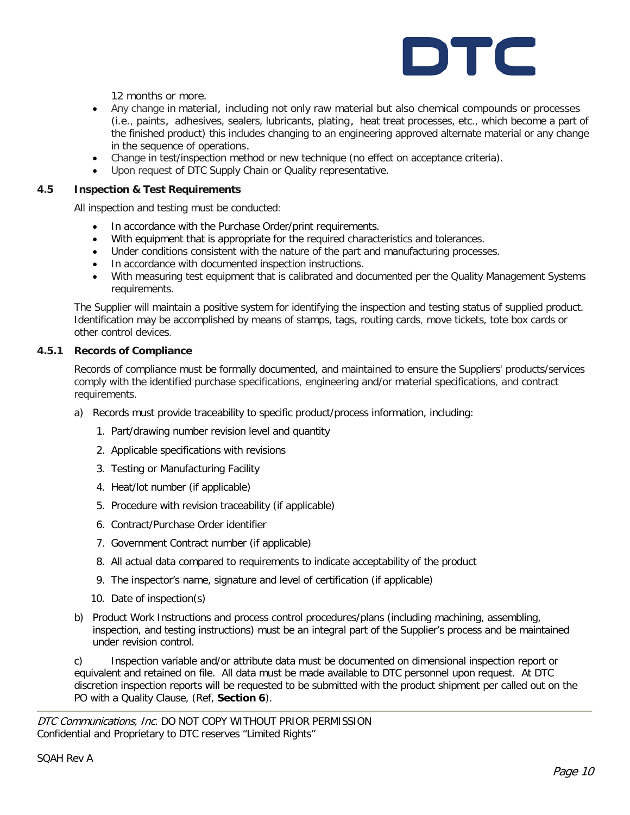

12 months or more.

- Any change in material, including not only raw material but also chemical compounds or processes (i.e., paints, adhesives, sealers, lubricants, plating, heat treat processes, etc., which become a part of the finished product) this includes changing to an engineering approved alternate material or any change in the sequence of operations.
- Change in test/inspection method or new technique (no effect on acceptance criteria).
- Upon request of DTC Supply Chain or Quality representative.

#### **4.5 Inspection & Test Requirements**

All inspection and testing must be conducted:

- In accordance with the Purchase Order/print requirements.
- With equipment that is appropriate for the required characteristics and tolerances.
- Under conditions consistent with the nature of the part and manufacturing processes.
- In accordance with documented inspection instructions.
- With measuring test equipment that is calibrated and documented per the Quality Management Systems requirements.

The Supplier will maintain a positive system for identifying the inspection and testing status of supplied product. Identification may be accomplished by means of stamps, tags, routing cards, move tickets, tote box cards or other control devices.

#### **4.5.1 Records of Compliance**

Records of compliance must be formally documented, and maintained to ensure the Suppliers' products/services comply with the identified purchase specifications, engineering and/or material specifications, and contract requirements.

- a) Records must provide traceability to specific product/process information, including:
	- 1. Part/drawing number revision level and quantity
	- 2. Applicable specifications with revisions
	- 3. Testing or Manufacturing Facility
	- 4. Heat/lot number (if applicable)
	- 5. Procedure with revision traceability (if applicable)
	- 6. Contract/Purchase Order identifier
	- 7. Government Contract number (if applicable)
	- 8. All actual data compared to requirements to indicate acceptability of the product
	- 9. The inspector's name, signature and level of certification (if applicable)
	- 10. Date of inspection(s)
- b) Product Work Instructions and process control procedures/plans (including machining, assembling, inspection, and testing instructions) must be an integral part of the Supplier's process and be maintained under revision control.

c) Inspection variable and/or attribute data must be documented on dimensional inspection report or equivalent and retained on file. All data must be made available to DTC personnel upon request. At DTC discretion inspection reports will be requested to be submitted with the product shipment per called out on the PO with a Quality Clause, (Ref, **Section 6**).

DTC Communications, Inc. DO NOT COPY WITHOUT PRIOR PERMISSION Confidential and Proprietary to DTC reserves "Limited Rights"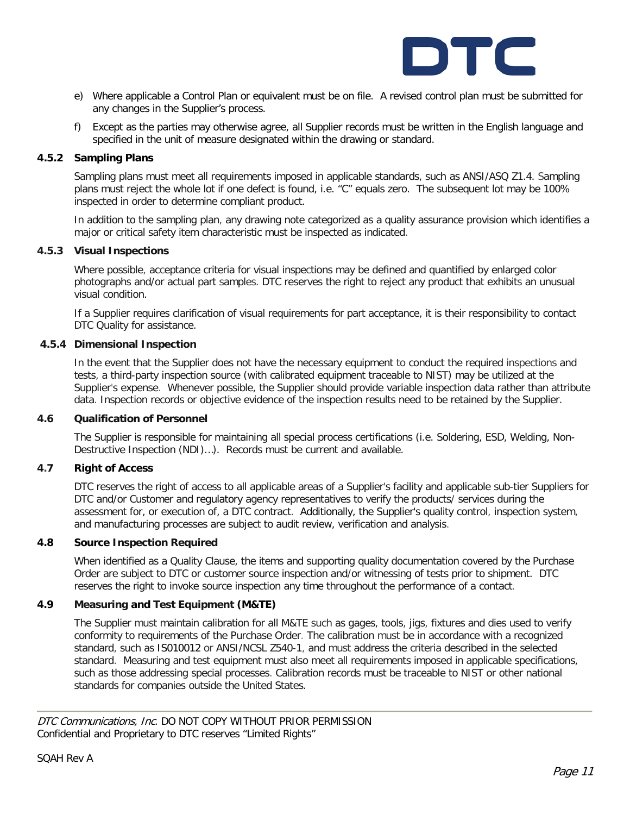

- e) Where applicable a Control Plan or equivalent must be on file. A revised control plan must be submitted for any changes in the Supplier's process.
- f) Except as the parties may otherwise agree, all Supplier records must be written in the English language and specified in the unit of measure designated within the drawing or standard.

#### **4.5.2 Sampling Plans**

Sampling plans must meet all requirements imposed in applicable standards, such as ANSI/ASQ Z1.4. Sampling plans must reject the whole lot if one defect is found, i.e. "C" equals zero. The subsequent lot may be 100% inspected in order to determine compliant product.

In addition to the sampling plan, any drawing note categorized as a quality assurance provision which identifies a major or critical safety item characteristic must be inspected as indicated.

#### **4.5.3 Visual Inspections**

Where possible, acceptance criteria for visual inspections may be defined and quantified by enlarged color photographs and/or actual part samples. DTC reserves the right to reject any product that exhibits an unusual visual condition.

If a Supplier requires clarification of visual requirements for part acceptance, it is their responsibility to contact DTC Quality for assistance.

#### **4.5.4 Dimensional Inspection**

In the event that the Supplier does not have the necessary equipment to conduct the required inspections and tests, a third-party inspection source (with calibrated equipment traceable to NIST) may be utilized at the Supplier's expense. Whenever possible, the Supplier should provide variable inspection data rather than attribute data. Inspection records or objective evidence of the inspection results need to be retained by the Supplier.

#### **4.6 Qualification of Personnel**

The Supplier is responsible for maintaining all special process certifications (i.e. Soldering, ESD, Welding, Non-Destructive Inspection (NDI)…). Records must be current and available.

#### **4.7 Right of Access**

DTC reserves the right of access to all applicable areas of a Supplier's facility and applicable sub-tier Suppliers for DTC and/or Customer and regulatory agency representatives to verify the products/ services during the assessment for, or execution of, a DTC contract. Additionally, the Supplier's quality control, inspection system, and manufacturing processes are subject to audit review, verification and analysis.

#### **4.8 Source Inspection Required**

When identified as a Quality Clause, the items and supporting quality documentation covered by the Purchase Order are subject to DTC or customer source inspection and/or witnessing of tests prior to shipment. DTC reserves the right to invoke source inspection any time throughout the performance of a contact.

#### **4.9 Measuring and Test Equipment (M&TE)**

The Supplier must maintain calibration for all M&TE such as gages, tools, jigs, fixtures and dies used to verify conformity to requirements of the Purchase Order. The calibration must be in accordance with a recognized standard, such as IS010012 or ANSI/NCSL Z540-1, and must address the criteria described in the selected standard. Measuring and test equipment must also meet all requirements imposed in applicable specifications, such as those addressing special processes. Calibration records must be traceable to NIST or other national standards for companies outside the United States.

DTC Communications, Inc. DO NOT COPY WITHOUT PRIOR PERMISSION Confidential and Proprietary to DTC reserves "Limited Rights"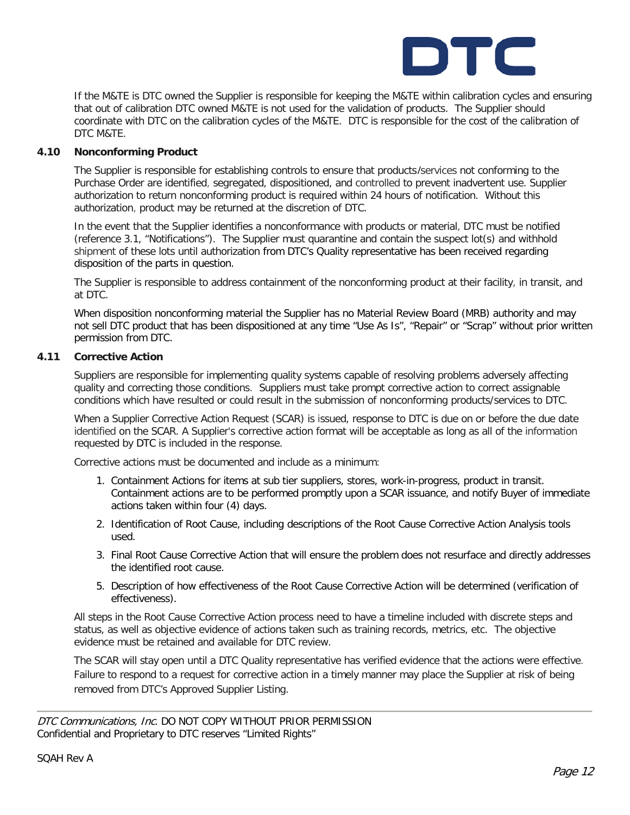

If the M&TE is DTC owned the Supplier is responsible for keeping the M&TE within calibration cycles and ensuring that out of calibration DTC owned M&TE is not used for the validation of products. The Supplier should coordinate with DTC on the calibration cycles of the M&TE. DTC is responsible for the cost of the calibration of DTC M&TE.

#### **4.10 Nonconforming Product**

The Supplier is responsible for establishing controls to ensure that products/services not conforming to the Purchase Order are identified, segregated, dispositioned, and controlled to prevent inadvertent use. Supplier authorization to return nonconforming product is required within 24 hours of notification. Without this authorization, product may be returned at the discretion of DTC.

In the event that the Supplier identifies a nonconformance with products or material, DTC must be notified (reference 3.1, "Notifications"). The Supplier must quarantine and contain the suspect lot(s) and withhold shipment of these lots until authorization from DTC's Quality representative has been received regarding disposition of the parts in question.

The Supplier is responsible to address containment of the nonconforming product at their facility, in transit, and at DTC.

When disposition nonconforming material the Supplier has no Material Review Board (MRB) authority and may not sell DTC product that has been dispositioned at any time "Use As Is", "Repair" or "Scrap" without prior written permission from DTC.

#### **4.11 Corrective Action**

Suppliers are responsible for implementing quality systems capable of resolving problems adversely affecting quality and correcting those conditions. Suppliers must take prompt corrective action to correct assignable conditions which have resulted or could result in the submission of nonconforming products/services to DTC.

When a Supplier Corrective Action Request (SCAR) is issued, response to DTC is due on or before the due date identified on the SCAR. A Supplier's corrective action format will be acceptable as long as all of the information requested by DTC is included in the response.

Corrective actions must be documented and include as a minimum:

- 1. Containment Actions for items at sub tier suppliers, stores, work-in-progress, product in transit. Containment actions are to be performed promptly upon a SCAR issuance, and notify Buyer of immediate actions taken within four (4) days.
- 2. Identification of Root Cause, including descriptions of the Root Cause Corrective Action Analysis tools used.
- 3. Final Root Cause Corrective Action that will ensure the problem does not resurface and directly addresses the identified root cause.
- 5. Description of how effectiveness of the Root Cause Corrective Action will be determined (verification of effectiveness).

All steps in the Root Cause Corrective Action process need to have a timeline included with discrete steps and status, as well as objective evidence of actions taken such as training records, metrics, etc. The objective evidence must be retained and available for DTC review.

The SCAR will stay open until a DTC Quality representative has verified evidence that the actions were effective. Failure to respond to a request for corrective action in a timely manner may place the Supplier at risk of being removed from DTC's Approved Supplier Listing.

DTC Communications, Inc. DO NOT COPY WITHOUT PRIOR PERMISSION Confidential and Proprietary to DTC reserves "Limited Rights"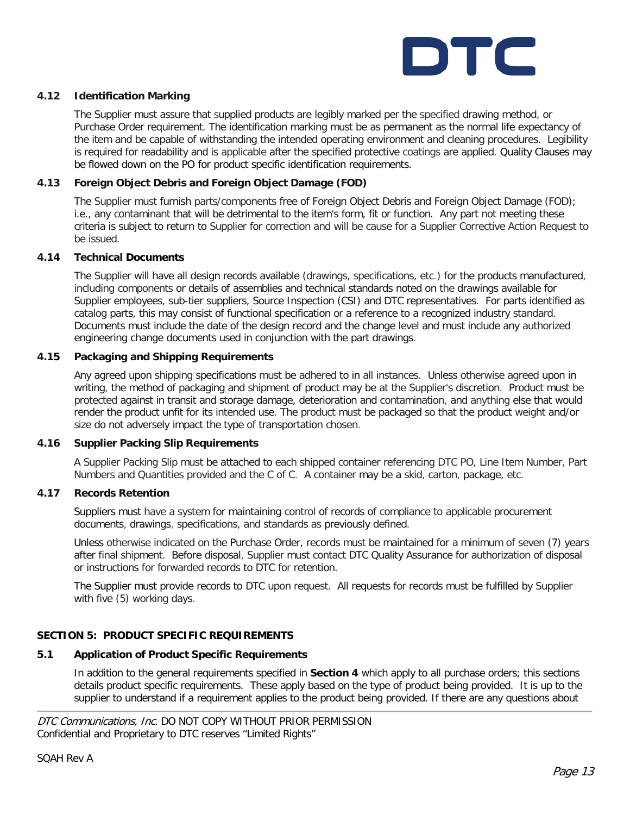

#### **4.12 Identification Marking**

The Supplier must assure that supplied products are legibly marked per the specified drawing method, or Purchase Order requirement. The identification marking must be as permanent as the normal life expectancy of the item and be capable of withstanding the intended operating environment and cleaning procedures. Legibility is required for readability and is applicable after the specified protective coatings are applied. Quality Clauses may be flowed down on the PO for product specific identification requirements.

#### **4.13 Foreign Object Debris and Foreign Object Damage (FOD)**

The Supplier must furnish parts/components free of Foreign Object Debris and Foreign Object Damage (FOD); i.e., any contaminant that will be detrimental to the item's form, fit or function. Any part not meeting these criteria is subject to return to Supplier for correction and will be cause for a Supplier Corrective Action Request to be issued.

#### **4.14 Technical Documents**

The Supplier will have all design records available (drawings, specifications, etc.) for the products manufactured, including components or details of assemblies and technical standards noted on the drawings available for Supplier employees, sub-tier suppliers, Source Inspection (CSI) and DTC representatives. For parts identified as catalog parts, this may consist of functional specification or a reference to a recognized industry standard. Documents must include the date of the design record and the change level and must include any authorized engineering change documents used in conjunction with the part drawings.

#### **4.15 Packaging and Shipping Requirements**

Any agreed upon shipping specifications must be adhered to in all instances. Unless otherwise agreed upon in writing, the method of packaging and shipment of product may be at the Supplier's discretion. Product must be protected against in transit and storage damage, deterioration and contamination, and anything else that would render the product unfit for its intended use. The product must be packaged so that the product weight and/or size do not adversely impact the type of transportation chosen.

#### **4.16 Supplier Packing Slip Requirements**

A Supplier Packing Slip must be attached to each shipped container referencing DTC PO, Line Item Number, Part Numbers and Quantities provided and the C of C. A container may be a skid, carton, package, etc.

#### **4.17 Records Retention**

Suppliers must have a system for maintaining control of records of compliance to applicable procurement documents, drawings, specifications, and standards as previously defined.

Unless otherwise indicated on the Purchase Order, records must be maintained for a minimum of seven (7) years after final shipment. Before disposal, Supplier must contact DTC Quality Assurance for authorization of disposal or instructions for forwarded records to DTC for retention.

The Supplier must provide records to DTC upon request. All requests for records must be fulfilled by Supplier with five (5) working days.

#### **SECTION 5: PRODUCT SPECIFIC REQUIREMENTS**

#### **5.1 Application of Product Specific Requirements**

In addition to the general requirements specified in **Section 4** which apply to all purchase orders; this sections details product specific requirements. These apply based on the type of product being provided. It is up to the supplier to understand if a requirement applies to the product being provided. If there are any questions about

DTC Communications, Inc. DO NOT COPY WITHOUT PRIOR PERMISSION Confidential and Proprietary to DTC reserves "Limited Rights"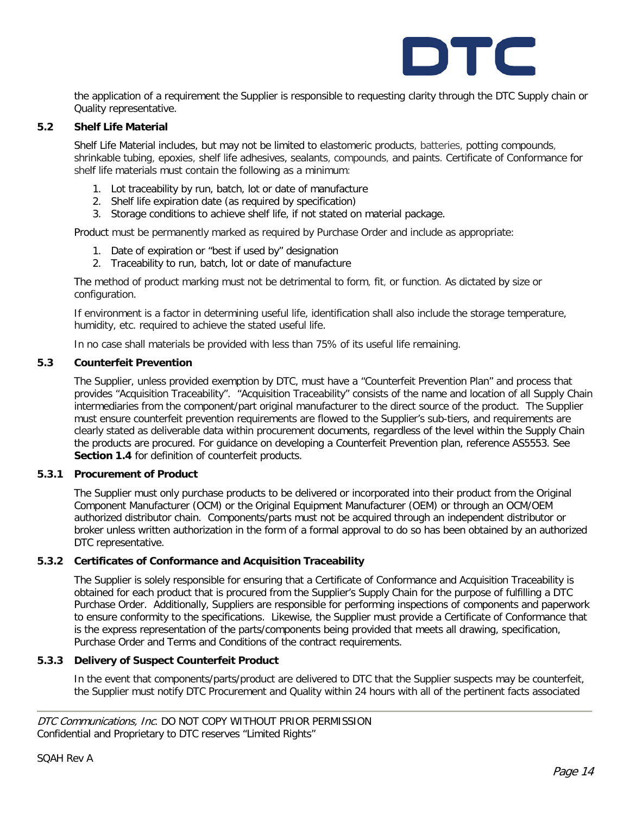

the application of a requirement the Supplier is responsible to requesting clarity through the DTC Supply chain or Quality representative.

#### **5.2 Shelf Life Material**

Shelf Life Material includes, but may not be limited to elastomeric products, batteries, potting compounds, shrinkable tubing, epoxies, shelf life adhesives, sealants, compounds, and paints. Certificate of Conformance for shelf life materials must contain the following as a minimum:

- 1. Lot traceability by run, batch, lot or date of manufacture
- 2. Shelf life expiration date (as required by specification)
- 3. Storage conditions to achieve shelf life, if not stated on material package.

Product must be permanently marked as required by Purchase Order and include as appropriate:

- 1. Date of expiration or "best if used by" designation
- 2. Traceability to run, batch, lot or date of manufacture

The method of product marking must not be detrimental to form, fit, or function. As dictated by size or configuration.

If environment is a factor in determining useful life, identification shall also include the storage temperature, humidity, etc. required to achieve the stated useful life.

In no case shall materials be provided with less than 75% of its useful life remaining.

#### **5.3 Counterfeit Prevention**

The Supplier, unless provided exemption by DTC, must have a "Counterfeit Prevention Plan" and process that provides "Acquisition Traceability". "Acquisition Traceability" consists of the name and location of all Supply Chain intermediaries from the component/part original manufacturer to the direct source of the product. The Supplier must ensure counterfeit prevention requirements are flowed to the Supplier's sub-tiers, and requirements are clearly stated as deliverable data within procurement documents, regardless of the level within the Supply Chain the products are procured. For guidance on developing a Counterfeit Prevention plan, reference AS5553. See **Section 1.4** for definition of counterfeit products.

#### **5.3.1 Procurement of Product**

The Supplier must only purchase products to be delivered or incorporated into their product from the Original Component Manufacturer (OCM) or the Original Equipment Manufacturer (OEM) or through an OCM/OEM authorized distributor chain. Components/parts must not be acquired through an independent distributor or broker unless written authorization in the form of a formal approval to do so has been obtained by an authorized DTC representative.

#### **5.3.2 Certificates of Conformance and Acquisition Traceability**

The Supplier is solely responsible for ensuring that a Certificate of Conformance and Acquisition Traceability is obtained for each product that is procured from the Supplier's Supply Chain for the purpose of fulfilling a DTC Purchase Order. Additionally, Suppliers are responsible for performing inspections of components and paperwork to ensure conformity to the specifications. Likewise, the Supplier must provide a Certificate of Conformance that is the express representation of the parts/components being provided that meets all drawing, specification, Purchase Order and Terms and Conditions of the contract requirements.

#### **5.3.3 Delivery of Suspect Counterfeit Product**

In the event that components/parts/product are delivered to DTC that the Supplier suspects may be counterfeit, the Supplier must notify DTC Procurement and Quality within 24 hours with all of the pertinent facts associated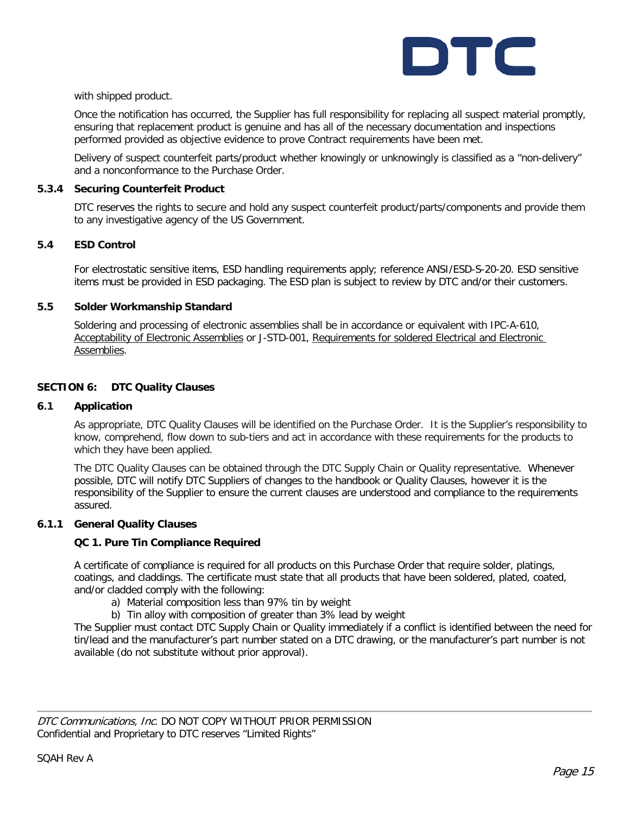

with shipped product.

Once the notification has occurred, the Supplier has full responsibility for replacing all suspect material promptly, ensuring that replacement product is genuine and has all of the necessary documentation and inspections performed provided as objective evidence to prove Contract requirements have been met.

Delivery of suspect counterfeit parts/product whether knowingly or unknowingly is classified as a "non-delivery" and a nonconformance to the Purchase Order.

#### **5.3.4 Securing Counterfeit Product**

DTC reserves the rights to secure and hold any suspect counterfeit product/parts/components and provide them to any investigative agency of the US Government.

#### **5.4 ESD Control**

For electrostatic sensitive items, ESD handling requirements apply; reference ANSI/ESD-S-20-20. ESD sensitive items must be provided in ESD packaging. The ESD plan is subject to review by DTC and/or their customers.

#### **5.5 Solder Workmanship Standard**

Soldering and processing of electronic assemblies shall be in accordance or equivalent with IPC-A-610, Acceptability of Electronic Assemblies or J-STD-001, Requirements for soldered Electrical and Electronic Assemblies.

#### **SECTION 6: DTC Quality Clauses**

#### **6.1 Application**

As appropriate, DTC Quality Clauses will be identified on the Purchase Order. It is the Supplier's responsibility to know, comprehend, flow down to sub-tiers and act in accordance with these requirements for the products to which they have been applied.

The DTC Quality Clauses can be obtained through the DTC Supply Chain or Quality representative. Whenever possible, DTC will notify DTC Suppliers of changes to the handbook or Quality Clauses, however it is the responsibility of the Supplier to ensure the current clauses are understood and compliance to the requirements assured.

#### **6.1.1 General Quality Clauses**

#### **QC 1. Pure Tin Compliance Required**

A certificate of compliance is required for all products on this Purchase Order that require solder, platings, coatings, and claddings. The certificate must state that all products that have been soldered, plated, coated, and/or cladded comply with the following:

- a) Material composition less than 97% tin by weight
- b) Tin alloy with composition of greater than 3% lead by weight

The Supplier must contact DTC Supply Chain or Quality immediately if a conflict is identified between the need for tin/lead and the manufacturer's part number stated on a DTC drawing, or the manufacturer's part number is not available (do not substitute without prior approval).

DTC Communications, Inc. DO NOT COPY WITHOUT PRIOR PERMISSION Confidential and Proprietary to DTC reserves "Limited Rights"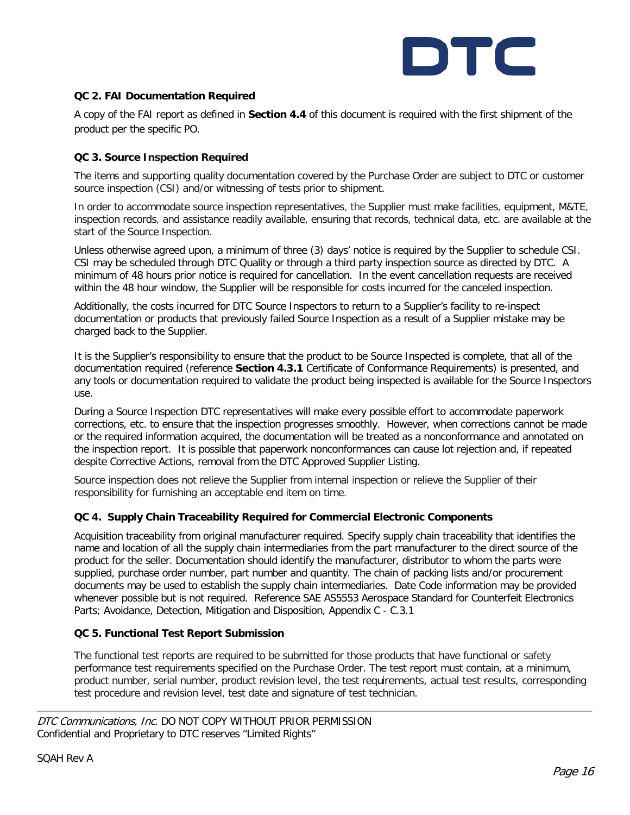

#### **QC 2. FAI Documentation Required**

A copy of the FAI report as defined in **Section 4.4** of this document is required with the first shipment of the product per the specific PO.

#### **QC 3. Source Inspection Required**

The items and supporting quality documentation covered by the Purchase Order are subject to DTC or customer source inspection (CSI) and/or witnessing of tests prior to shipment.

In order to accommodate source inspection representatives, the Supplier must make facilities, equipment, M&TE, inspection records, and assistance readily available, ensuring that records, technical data, etc. are available at the start of the Source Inspection.

Unless otherwise agreed upon, a minimum of three (3) days' notice is required by the Supplier to schedule CSI. CSI may be scheduled through DTC Quality or through a third party inspection source as directed by DTC. A minimum of 48 hours prior notice is required for cancellation. In the event cancellation requests are received within the 48 hour window, the Supplier will be responsible for costs incurred for the canceled inspection.

Additionally, the costs incurred for DTC Source Inspectors to return to a Supplier's facility to re-inspect documentation or products that previously failed Source Inspection as a result of a Supplier mistake may be charged back to the Supplier.

It is the Supplier's responsibility to ensure that the product to be Source Inspected is complete, that all of the documentation required (reference **Section 4.3.1** Certificate of Conformance Requirements) is presented, and any tools or documentation required to validate the product being inspected is available for the Source Inspectors use.

During a Source Inspection DTC representatives will make every possible effort to accommodate paperwork corrections, etc. to ensure that the inspection progresses smoothly. However, when corrections cannot be made or the required information acquired, the documentation will be treated as a nonconformance and annotated on the inspection report. It is possible that paperwork nonconformances can cause lot rejection and, if repeated despite Corrective Actions, removal from the DTC Approved Supplier Listing.

Source inspection does not relieve the Supplier from internal inspection or relieve the Supplier of their responsibility for furnishing an acceptable end item on time.

#### **QC 4. Supply Chain Traceability Required for Commercial Electronic Components**

Acquisition traceability from original manufacturer required. Specify supply chain traceability that identifies the name and location of all the supply chain intermediaries from the part manufacturer to the direct source of the product for the seller. Documentation should identify the manufacturer, distributor to whom the parts were supplied, purchase order number, part number and quantity. The chain of packing lists and/or procurement documents may be used to establish the supply chain intermediaries. Date Code information may be provided whenever possible but is not required. Reference SAE AS5553 Aerospace Standard for Counterfeit Electronics Parts; Avoidance, Detection, Mitigation and Disposition, Appendix C - C.3.1

#### **QC 5. Functional Test Report Submission**

The functional test reports are required to be submitted for those products that have functional or safety performance test requirements specified on the Purchase Order. The test report must contain, at a minimum, product number, serial number, product revision level, the test requirements, actual test results, corresponding test procedure and revision level, test date and signature of test technician.